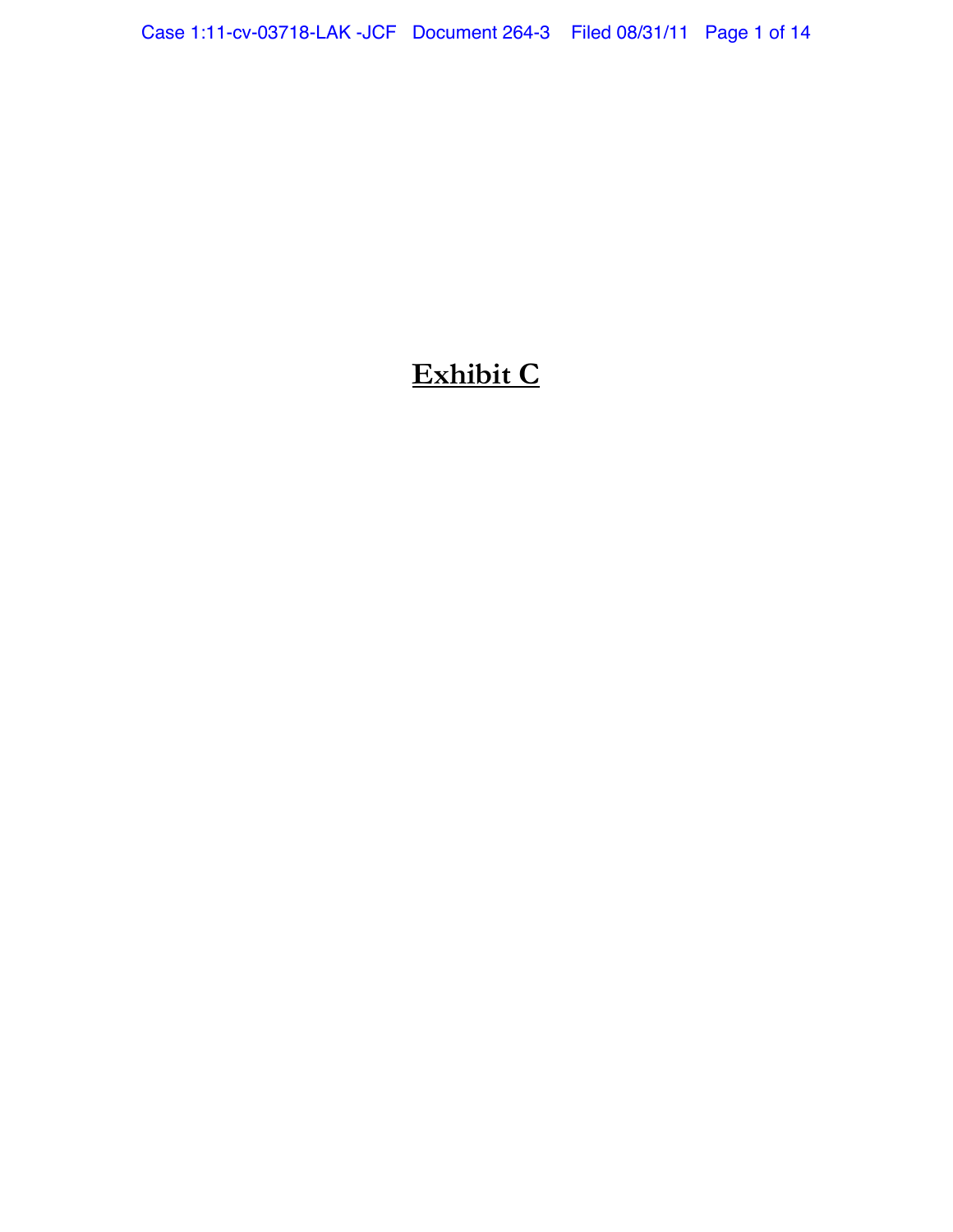# **Exhibit C**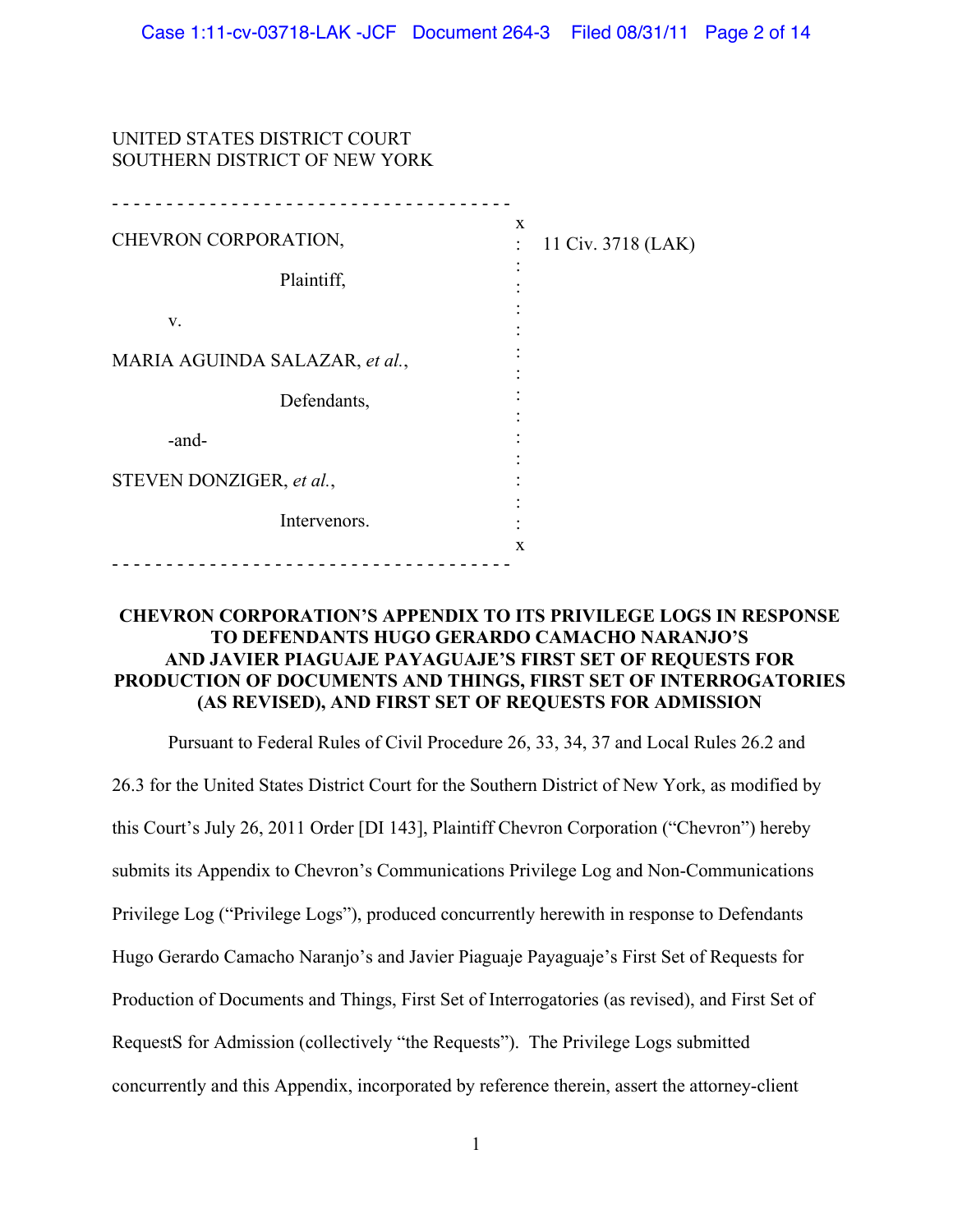# UNITED STATES DISTRICT COURT SOUTHERN DISTRICT OF NEW YORK

| CHEVRON CORPORATION,           | X<br>11 Civ. 3718 (LAK)<br>÷ |
|--------------------------------|------------------------------|
| Plaintiff,                     |                              |
| V.                             |                              |
| MARIA AGUINDA SALAZAR, et al., |                              |
| Defendants,                    |                              |
| -and-                          |                              |
| STEVEN DONZIGER, et al.,       |                              |
| Intervenors.                   |                              |
|                                | $\mathbf x$                  |

# **CHEVRON CORPORATION-S APPENDIX TO ITS PRIVILEGE LOGS IN RESPONSE TO DEFENDANTS HUGO GERARDO CAMACHO NARANJO-S AND JAVIER PIAGUAJE PAYAGUAJE-S FIRST SET OF REQUESTS FOR PRODUCTION OF DOCUMENTS AND THINGS, FIRST SET OF INTERROGATORIES (AS REVISED), AND FIRST SET OF REQUESTS FOR ADMISSION**

Pursuant to Federal Rules of Civil Procedure 26, 33, 34, 37 and Local Rules 26.2 and 26.3 for the United States District Court for the Southern District of New York, as modified by this Court's July 26, 2011 Order [DI 143], Plaintiff Chevron Corporation ("Chevron") hereby submits its Appendix to Chevron's Communications Privilege Log and Non-Communications Privilege Log ("Privilege Logs"), produced concurrently herewith in response to Defendants Hugo Gerardo Camacho Naranjo's and Javier Piaguaje Payaguaje's First Set of Requests for Production of Documents and Things, First Set of Interrogatories (as revised), and First Set of RequestS for Admission (collectively "the Requests"). The Privilege Logs submitted concurrently and this Appendix, incorporated by reference therein, assert the attorney-client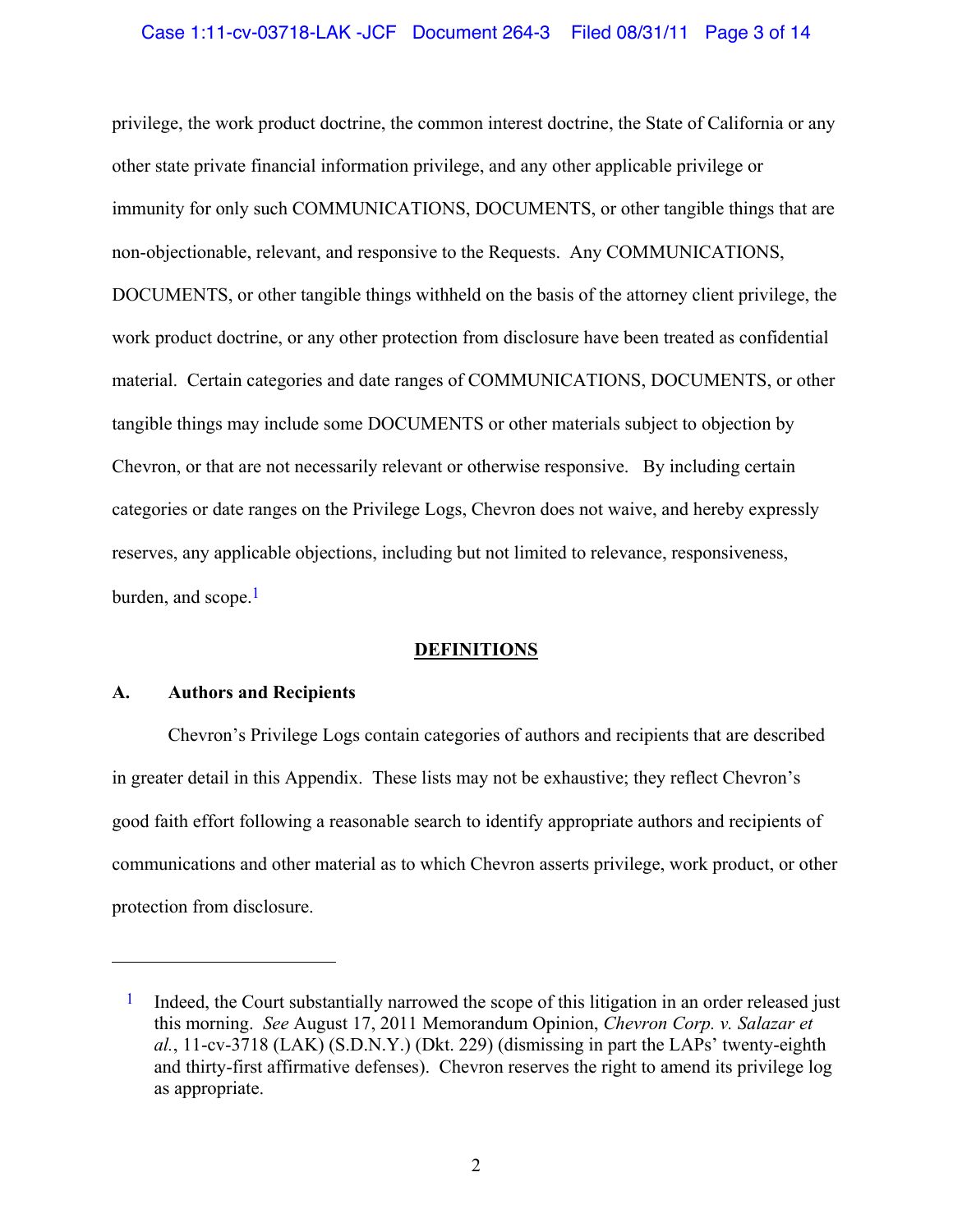## Case 1:11-cv-03718-LAK -JCF Document 264-3 Filed 08/31/11 Page 3 of 14

privilege, the work product doctrine, the common interest doctrine, the State of California or any other state private financial information privilege, and any other applicable privilege or immunity for only such COMMUNICATIONS, DOCUMENTS, or other tangible things that are non-objectionable, relevant, and responsive to the Requests. Any COMMUNICATIONS, DOCUMENTS, or other tangible things withheld on the basis of the attorney client privilege, the work product doctrine, or any other protection from disclosure have been treated as confidential material. Certain categories and date ranges of COMMUNICATIONS, DOCUMENTS, or other tangible things may include some DOCUMENTS or other materials subject to objection by Chevron, or that are not necessarily relevant or otherwise responsive. By including certain categories or date ranges on the Privilege Logs, Chevron does not waive, and hereby expressly reserves, any applicable objections, including but not limited to relevance, responsiveness, burden, and scope. $<sup>1</sup>$ </sup>

#### **DEFINITIONS**

## **A. Authors and Recipients**

 $\overline{a}$ 

Chevron's Privilege Logs contain categories of authors and recipients that are described in greater detail in this Appendix. These lists may not be exhaustive; they reflect Chevron's good faith effort following a reasonable search to identify appropriate authors and recipients of communications and other material as to which Chevron asserts privilege, work product, or other protection from disclosure.

 $1$  Indeed, the Court substantially narrowed the scope of this litigation in an order released just this morning. *See* August 17, 2011 Memorandum Opinion, *Chevron Corp. v. Salazar et*   $al.$ , 11-cv-3718 (LAK) (S.D.N.Y.) (Dkt. 229) (dismissing in part the LAPs' twenty-eighth and thirty-first affirmative defenses). Chevron reserves the right to amend its privilege log as appropriate.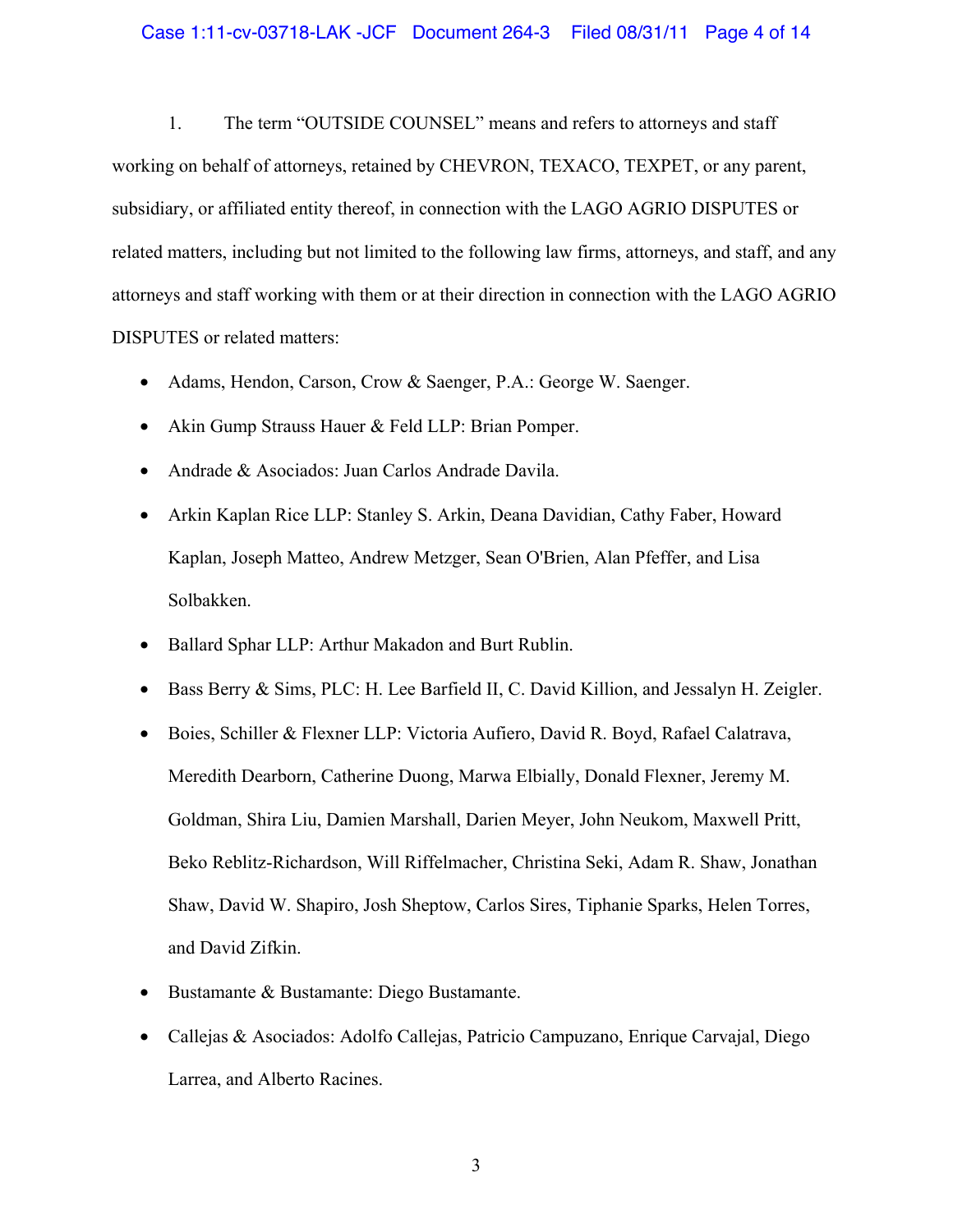#### Case 1:11-cv-03718-LAK -JCF Document 264-3 Filed 08/31/11 Page 4 of 14

1. The term "OUTSIDE COUNSEL" means and refers to attorneys and staff working on behalf of attorneys, retained by CHEVRON, TEXACO, TEXPET, or any parent, subsidiary, or affiliated entity thereof, in connection with the LAGO AGRIO DISPUTES or related matters, including but not limited to the following law firms, attorneys, and staff, and any attorneys and staff working with them or at their direction in connection with the LAGO AGRIO DISPUTES or related matters:

- Adams, Hendon, Carson, Crow & Saenger, P.A.: George W. Saenger.
- Akin Gump Strauss Hauer & Feld LLP: Brian Pomper.
- Andrade & Asociados: Juan Carlos Andrade Davila.
- Arkin Kaplan Rice LLP: Stanley S. Arkin, Deana Davidian, Cathy Faber, Howard Kaplan, Joseph Matteo, Andrew Metzger, Sean O'Brien, Alan Pfeffer, and Lisa Solbakken.
- Ballard Sphar LLP: Arthur Makadon and Burt Rublin.
- Bass Berry & Sims, PLC: H. Lee Barfield II, C. David Killion, and Jessalyn H. Zeigler.
- Boies, Schiller & Flexner LLP: Victoria Aufiero, David R. Boyd, Rafael Calatrava, Meredith Dearborn, Catherine Duong, Marwa Elbially, Donald Flexner, Jeremy M. Goldman, Shira Liu, Damien Marshall, Darien Meyer, John Neukom, Maxwell Pritt, Beko Reblitz-Richardson, Will Riffelmacher, Christina Seki, Adam R. Shaw, Jonathan Shaw, David W. Shapiro, Josh Sheptow, Carlos Sires, Tiphanie Sparks, Helen Torres, and David Zifkin.
- Bustamante & Bustamante: Diego Bustamante.
- Callejas & Asociados: Adolfo Callejas, Patricio Campuzano, Enrique Carvajal, Diego Larrea, and Alberto Racines.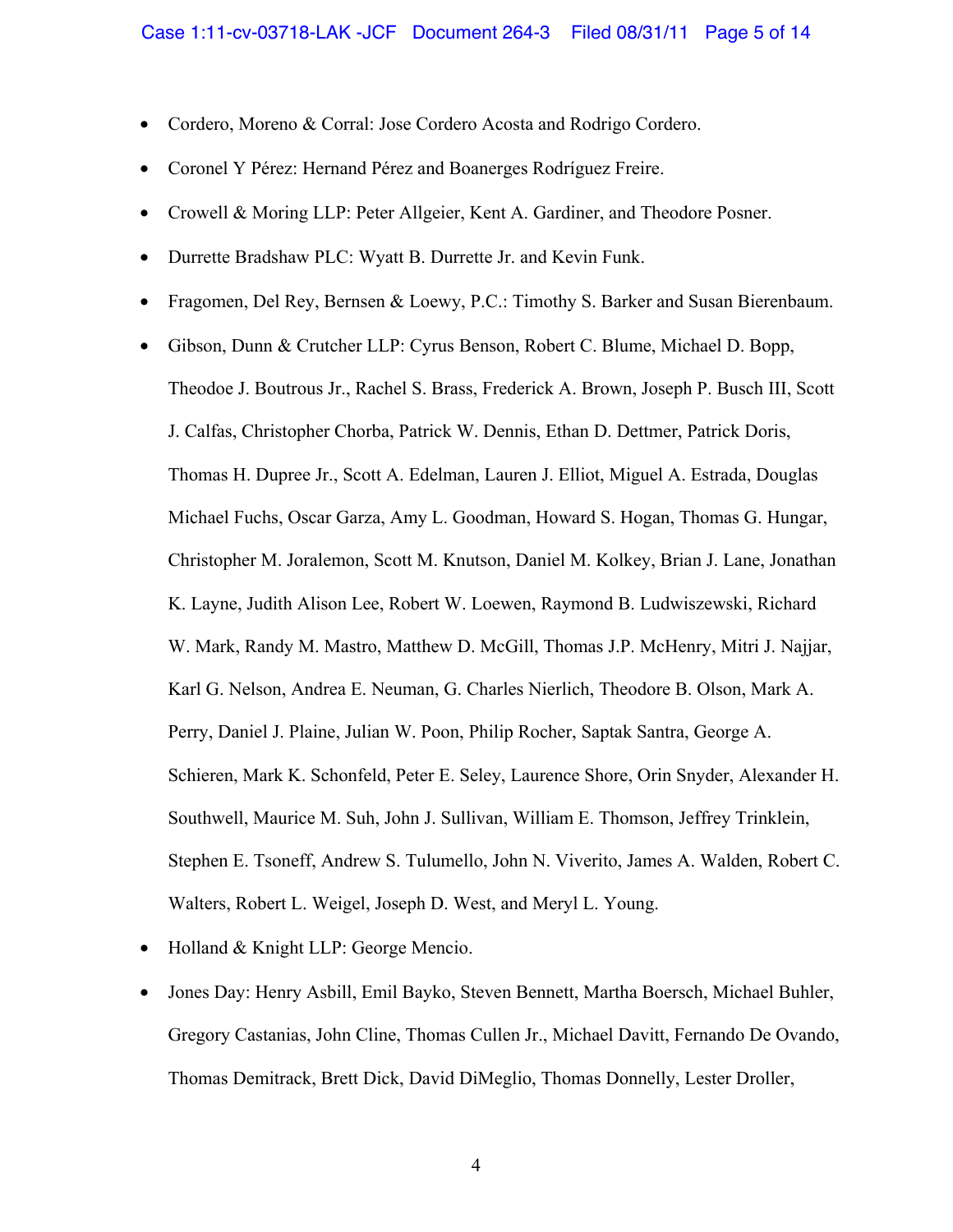- Cordero, Moreno & Corral: Jose Cordero Acosta and Rodrigo Cordero.
- Coronel Y Pérez: Hernand Pérez and Boanerges Rodríguez Freire.
- Crowell & Moring LLP: Peter Allgeier, Kent A. Gardiner, and Theodore Posner.
- Durrette Bradshaw PLC: Wyatt B. Durrette Jr. and Kevin Funk.
- Fragomen, Del Rey, Bernsen & Loewy, P.C.: Timothy S. Barker and Susan Bierenbaum.
- Gibson, Dunn & Crutcher LLP: Cyrus Benson, Robert C. Blume, Michael D. Bopp, Theodoe J. Boutrous Jr., Rachel S. Brass, Frederick A. Brown, Joseph P. Busch III, Scott J. Calfas, Christopher Chorba, Patrick W. Dennis, Ethan D. Dettmer, Patrick Doris, Thomas H. Dupree Jr., Scott A. Edelman, Lauren J. Elliot, Miguel A. Estrada, Douglas Michael Fuchs, Oscar Garza, Amy L. Goodman, Howard S. Hogan, Thomas G. Hungar, Christopher M. Joralemon, Scott M. Knutson, Daniel M. Kolkey, Brian J. Lane, Jonathan K. Layne, Judith Alison Lee, Robert W. Loewen, Raymond B. Ludwiszewski, Richard W. Mark, Randy M. Mastro, Matthew D. McGill, Thomas J.P. McHenry, Mitri J. Najjar, Karl G. Nelson, Andrea E. Neuman, G. Charles Nierlich, Theodore B. Olson, Mark A. Perry, Daniel J. Plaine, Julian W. Poon, Philip Rocher, Saptak Santra, George A. Schieren, Mark K. Schonfeld, Peter E. Seley, Laurence Shore, Orin Snyder, Alexander H. Southwell, Maurice M. Suh, John J. Sullivan, William E. Thomson, Jeffrey Trinklein, Stephen E. Tsoneff, Andrew S. Tulumello, John N. Viverito, James A. Walden, Robert C. Walters, Robert L. Weigel, Joseph D. West, and Meryl L. Young.
- Holland & Knight LLP: George Mencio.
- Jones Day: Henry Asbill, Emil Bayko, Steven Bennett, Martha Boersch, Michael Buhler, Gregory Castanias, John Cline, Thomas Cullen Jr., Michael Davitt, Fernando De Ovando, Thomas Demitrack, Brett Dick, David DiMeglio, Thomas Donnelly, Lester Droller,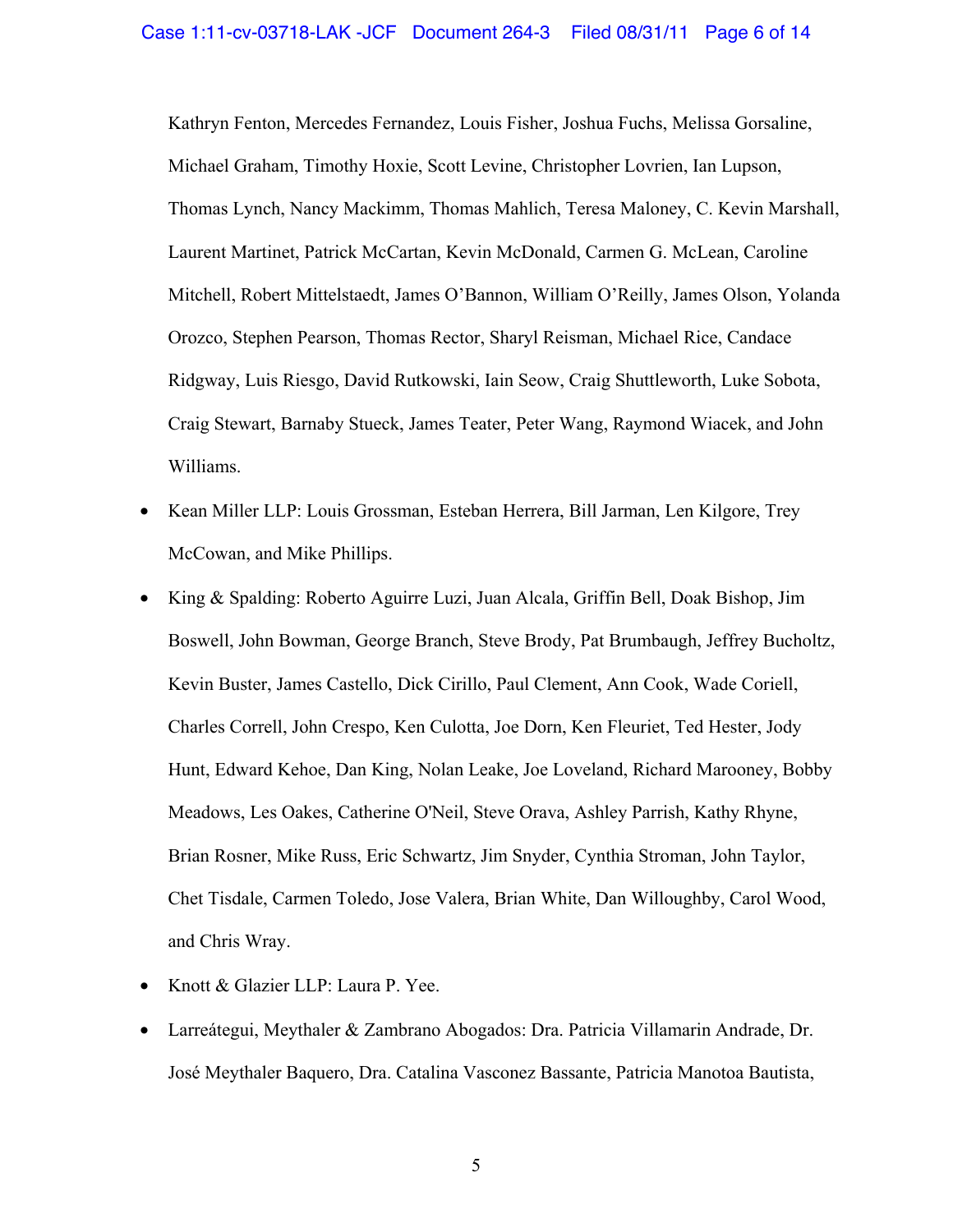Kathryn Fenton, Mercedes Fernandez, Louis Fisher, Joshua Fuchs, Melissa Gorsaline, Michael Graham, Timothy Hoxie, Scott Levine, Christopher Lovrien, Ian Lupson, Thomas Lynch, Nancy Mackimm, Thomas Mahlich, Teresa Maloney, C. Kevin Marshall, Laurent Martinet, Patrick McCartan, Kevin McDonald, Carmen G. McLean, Caroline Mitchell, Robert Mittelstaedt, James O'Bannon, William O'Reilly, James Olson, Yolanda Orozco, Stephen Pearson, Thomas Rector, Sharyl Reisman, Michael Rice, Candace Ridgway, Luis Riesgo, David Rutkowski, Iain Seow, Craig Shuttleworth, Luke Sobota, Craig Stewart, Barnaby Stueck, James Teater, Peter Wang, Raymond Wiacek, and John Williams.

- Kean Miller LLP: Louis Grossman, Esteban Herrera, Bill Jarman, Len Kilgore, Trey McCowan, and Mike Phillips.
- King & Spalding: Roberto Aguirre Luzi, Juan Alcala, Griffin Bell, Doak Bishop, Jim Boswell, John Bowman, George Branch, Steve Brody, Pat Brumbaugh, Jeffrey Bucholtz, Kevin Buster, James Castello, Dick Cirillo, Paul Clement, Ann Cook, Wade Coriell, Charles Correll, John Crespo, Ken Culotta, Joe Dorn, Ken Fleuriet, Ted Hester, Jody Hunt, Edward Kehoe, Dan King, Nolan Leake, Joe Loveland, Richard Marooney, Bobby Meadows, Les Oakes, Catherine O'Neil, Steve Orava, Ashley Parrish, Kathy Rhyne, Brian Rosner, Mike Russ, Eric Schwartz, Jim Snyder, Cynthia Stroman, John Taylor, Chet Tisdale, Carmen Toledo, Jose Valera, Brian White, Dan Willoughby, Carol Wood, and Chris Wray.
- Knott & Glazier LLP: Laura P. Yee.
- Larreátegui, Meythaler & Zambrano Abogados: Dra. Patricia Villamarin Andrade, Dr. José Meythaler Baquero, Dra. Catalina Vasconez Bassante, Patricia Manotoa Bautista,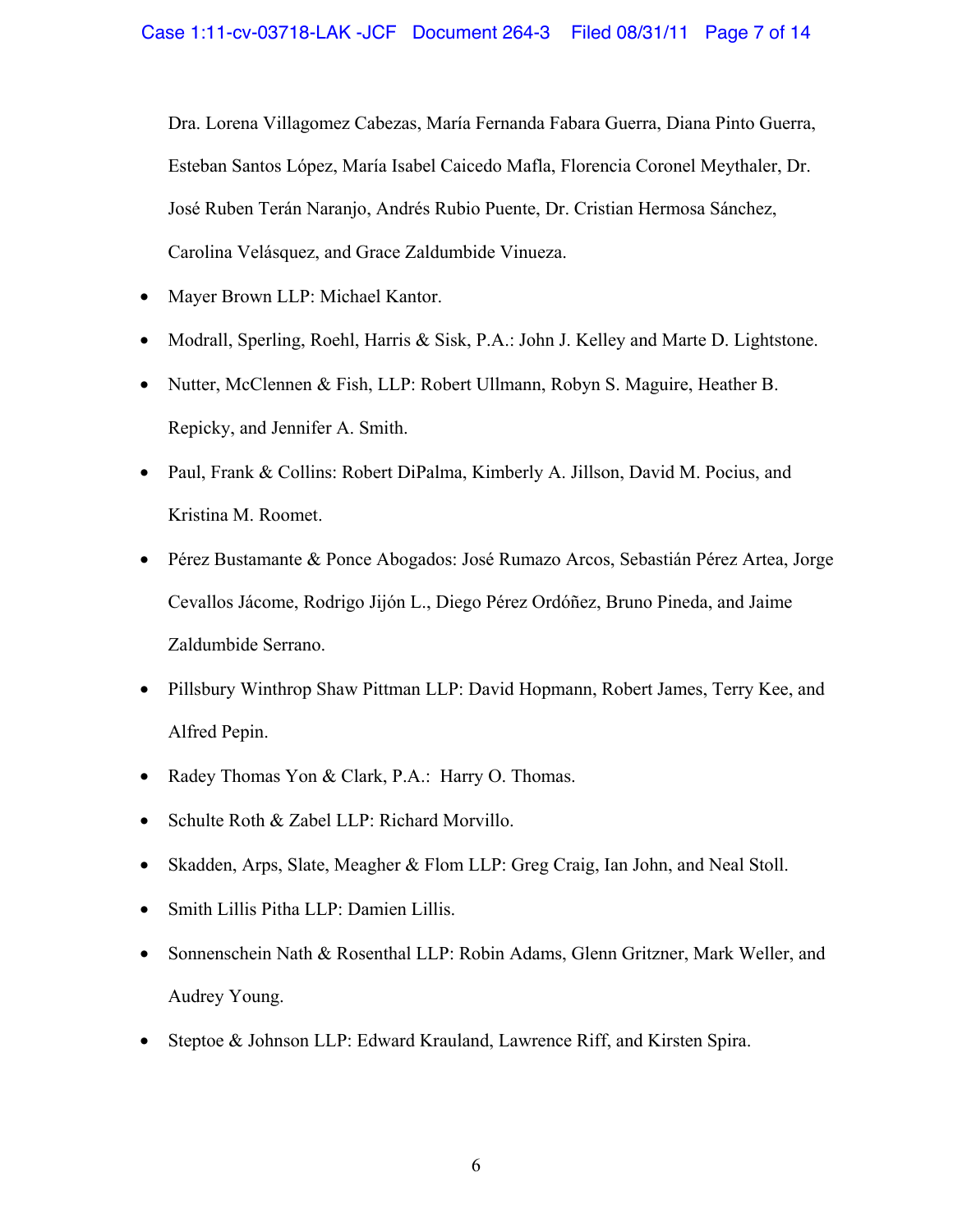Dra. Lorena Villagomez Cabezas, María Fernanda Fabara Guerra, Diana Pinto Guerra, Esteban Santos López, María Isabel Caicedo Mafla, Florencia Coronel Meythaler, Dr. José Ruben Terán Naranjo, Andrés Rubio Puente, Dr. Cristian Hermosa Sánchez, Carolina Velásquez, and Grace Zaldumbide Vinueza.

- Mayer Brown LLP: Michael Kantor.
- Modrall, Sperling, Roehl, Harris & Sisk, P.A.: John J. Kelley and Marte D. Lightstone.
- Nutter, McClennen & Fish, LLP: Robert Ullmann, Robyn S. Maguire, Heather B. Repicky, and Jennifer A. Smith.
- Paul, Frank & Collins: Robert DiPalma, Kimberly A. Jillson, David M. Pocius, and Kristina M. Roomet.
- Pérez Bustamante & Ponce Abogados: José Rumazo Arcos, Sebastián Pérez Artea, Jorge Cevallos Jácome, Rodrigo Jijón L., Diego Pérez Ordóñez, Bruno Pineda, and Jaime Zaldumbide Serrano.
- Pillsbury Winthrop Shaw Pittman LLP: David Hopmann, Robert James, Terry Kee, and Alfred Pepin.
- Radey Thomas Yon & Clark, P.A.: Harry O. Thomas.
- Schulte Roth & Zabel LLP: Richard Morvillo.
- Skadden, Arps, Slate, Meagher & Flom LLP: Greg Craig, Ian John, and Neal Stoll.
- Smith Lillis Pitha LLP: Damien Lillis.
- Sonnenschein Nath & Rosenthal LLP: Robin Adams, Glenn Gritzner, Mark Weller, and Audrey Young.
- Steptoe & Johnson LLP: Edward Krauland, Lawrence Riff, and Kirsten Spira.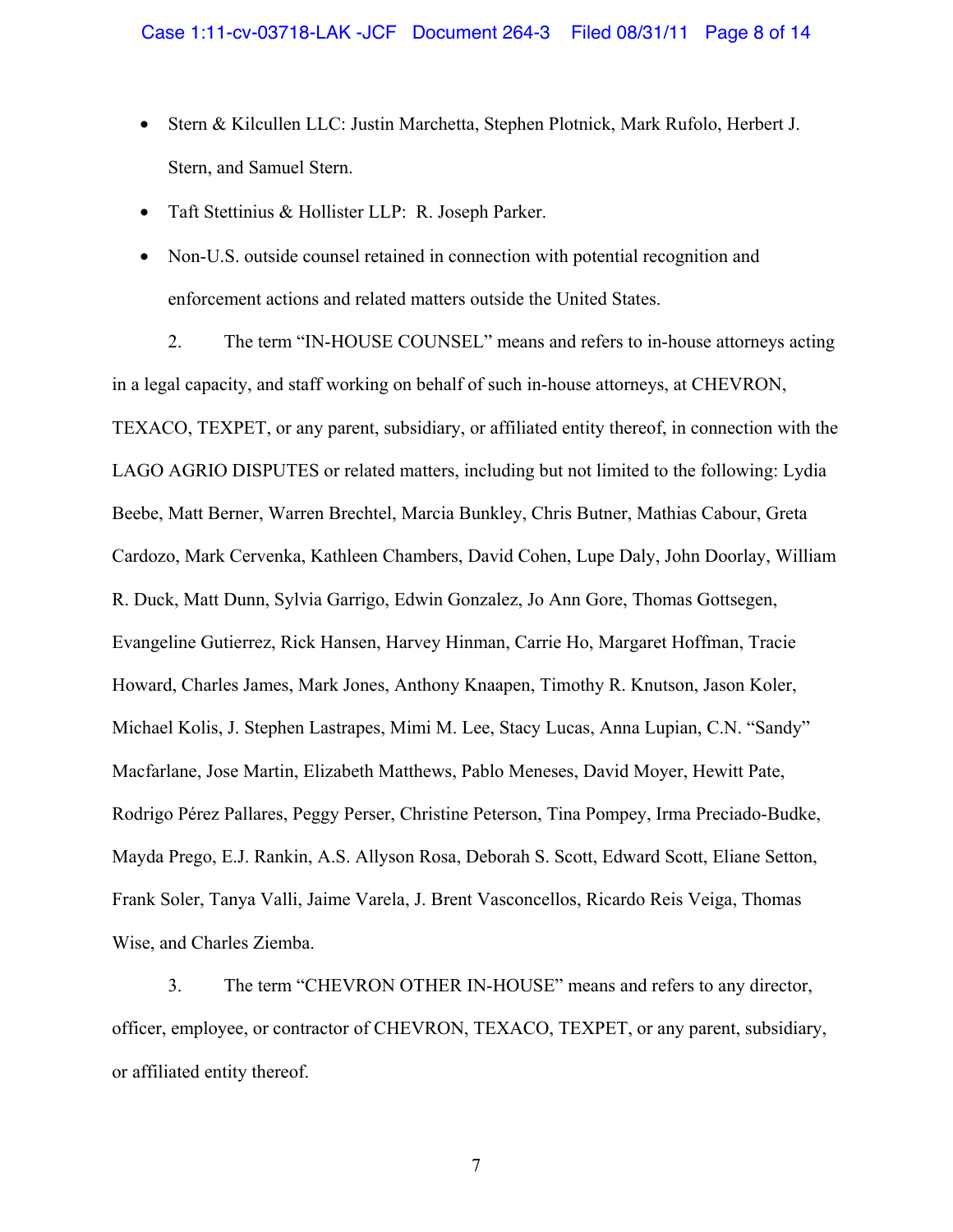- Stern & Kilcullen LLC: Justin Marchetta, Stephen Plotnick, Mark Rufolo, Herbert J. Stern, and Samuel Stern.
- Taft Stettinius & Hollister LLP: R. Joseph Parker.
- Non-U.S. outside counsel retained in connection with potential recognition and enforcement actions and related matters outside the United States.

2. The term "IN-HOUSE COUNSEL" means and refers to in-house attorneys acting in a legal capacity, and staff working on behalf of such in-house attorneys, at CHEVRON, TEXACO, TEXPET, or any parent, subsidiary, or affiliated entity thereof, in connection with the LAGO AGRIO DISPUTES or related matters, including but not limited to the following: Lydia Beebe, Matt Berner, Warren Brechtel, Marcia Bunkley, Chris Butner, Mathias Cabour, Greta Cardozo, Mark Cervenka, Kathleen Chambers, David Cohen, Lupe Daly, John Doorlay, William R. Duck, Matt Dunn, Sylvia Garrigo, Edwin Gonzalez, Jo Ann Gore, Thomas Gottsegen, Evangeline Gutierrez, Rick Hansen, Harvey Hinman, Carrie Ho, Margaret Hoffman, Tracie Howard, Charles James, Mark Jones, Anthony Knaapen, Timothy R. Knutson, Jason Koler, Michael Kolis, J. Stephen Lastrapes, Mimi M. Lee, Stacy Lucas, Anna Lupian, C.N. "Sandy" Macfarlane, Jose Martin, Elizabeth Matthews, Pablo Meneses, David Moyer, Hewitt Pate, Rodrigo Pérez Pallares, Peggy Perser, Christine Peterson, Tina Pompey, Irma Preciado-Budke, Mayda Prego, E.J. Rankin, A.S. Allyson Rosa, Deborah S. Scott, Edward Scott, Eliane Setton, Frank Soler, Tanya Valli, Jaime Varela, J. Brent Vasconcellos, Ricardo Reis Veiga, Thomas Wise, and Charles Ziemba.

3. The term "CHEVRON OTHER IN-HOUSE" means and refers to any director, officer, employee, or contractor of CHEVRON, TEXACO, TEXPET, or any parent, subsidiary, or affiliated entity thereof.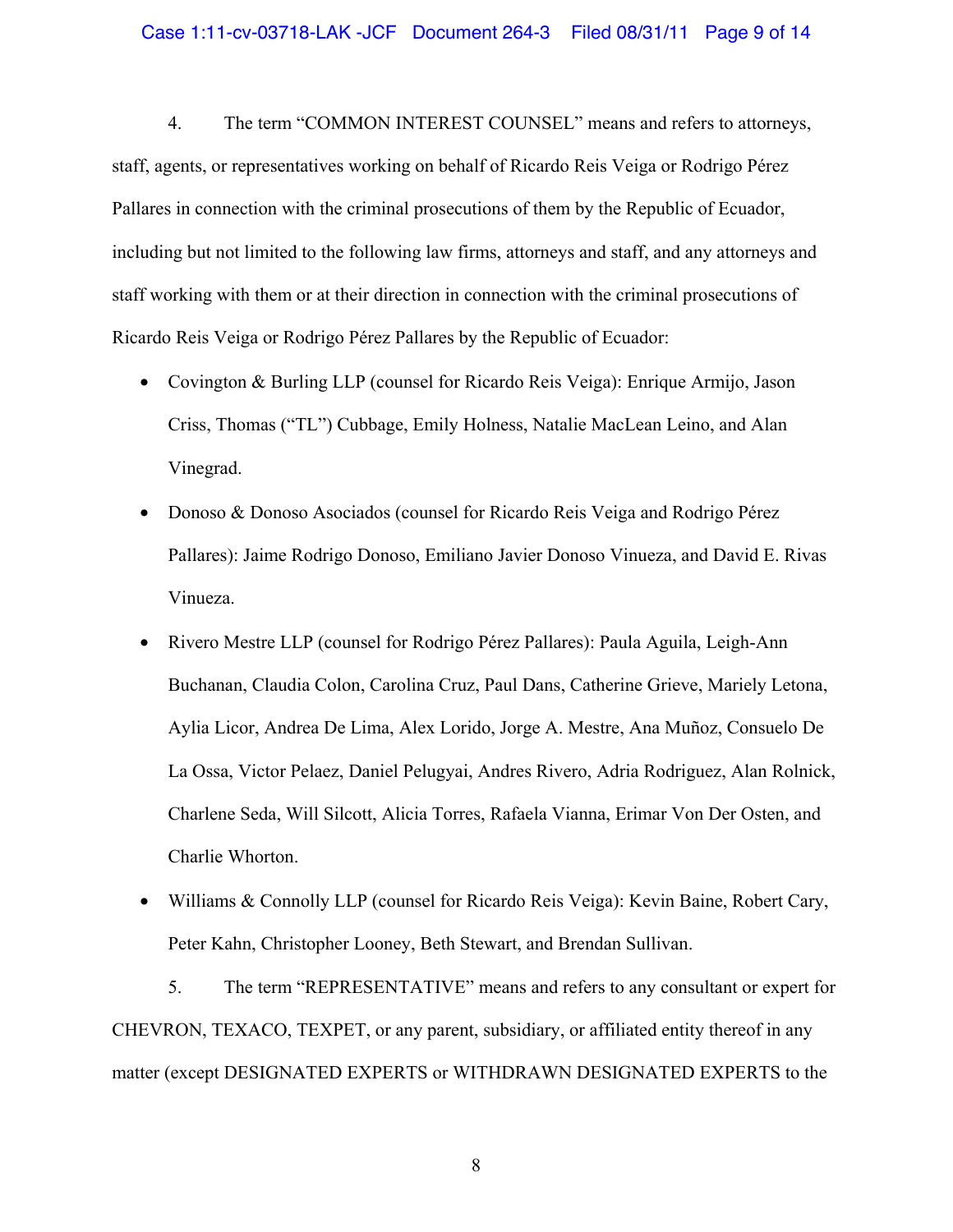4. The term "COMMON INTEREST COUNSEL" means and refers to attorneys, staff, agents, or representatives working on behalf of Ricardo Reis Veiga or Rodrigo Pérez Pallares in connection with the criminal prosecutions of them by the Republic of Ecuador, including but not limited to the following law firms, attorneys and staff, and any attorneys and staff working with them or at their direction in connection with the criminal prosecutions of Ricardo Reis Veiga or Rodrigo Pérez Pallares by the Republic of Ecuador:

- Covington & Burling LLP (counsel for Ricardo Reis Veiga): Enrique Armijo, Jason Criss, Thomas ("TL") Cubbage, Emily Holness, Natalie MacLean Leino, and Alan Vinegrad.
- Donoso & Donoso Asociados (counsel for Ricardo Reis Veiga and Rodrigo Pérez Pallares): Jaime Rodrigo Donoso, Emiliano Javier Donoso Vinueza, and David E. Rivas Vinueza.
- Rivero Mestre LLP (counsel for Rodrigo Pérez Pallares): Paula Aguila, Leigh-Ann Buchanan, Claudia Colon, Carolina Cruz, Paul Dans, Catherine Grieve, Mariely Letona, Aylia Licor, Andrea De Lima, Alex Lorido, Jorge A. Mestre, Ana Muñoz, Consuelo De La Ossa, Victor Pelaez, Daniel Pelugyai, Andres Rivero, Adria Rodriguez, Alan Rolnick, Charlene Seda, Will Silcott, Alicia Torres, Rafaela Vianna, Erimar Von Der Osten, and Charlie Whorton.
- Williams & Connolly LLP (counsel for Ricardo Reis Veiga): Kevin Baine, Robert Cary, Peter Kahn, Christopher Looney, Beth Stewart, and Brendan Sullivan.

5. The term "REPRESENTATIVE" means and refers to any consultant or expert for CHEVRON, TEXACO, TEXPET, or any parent, subsidiary, or affiliated entity thereof in any matter (except DESIGNATED EXPERTS or WITHDRAWN DESIGNATED EXPERTS to the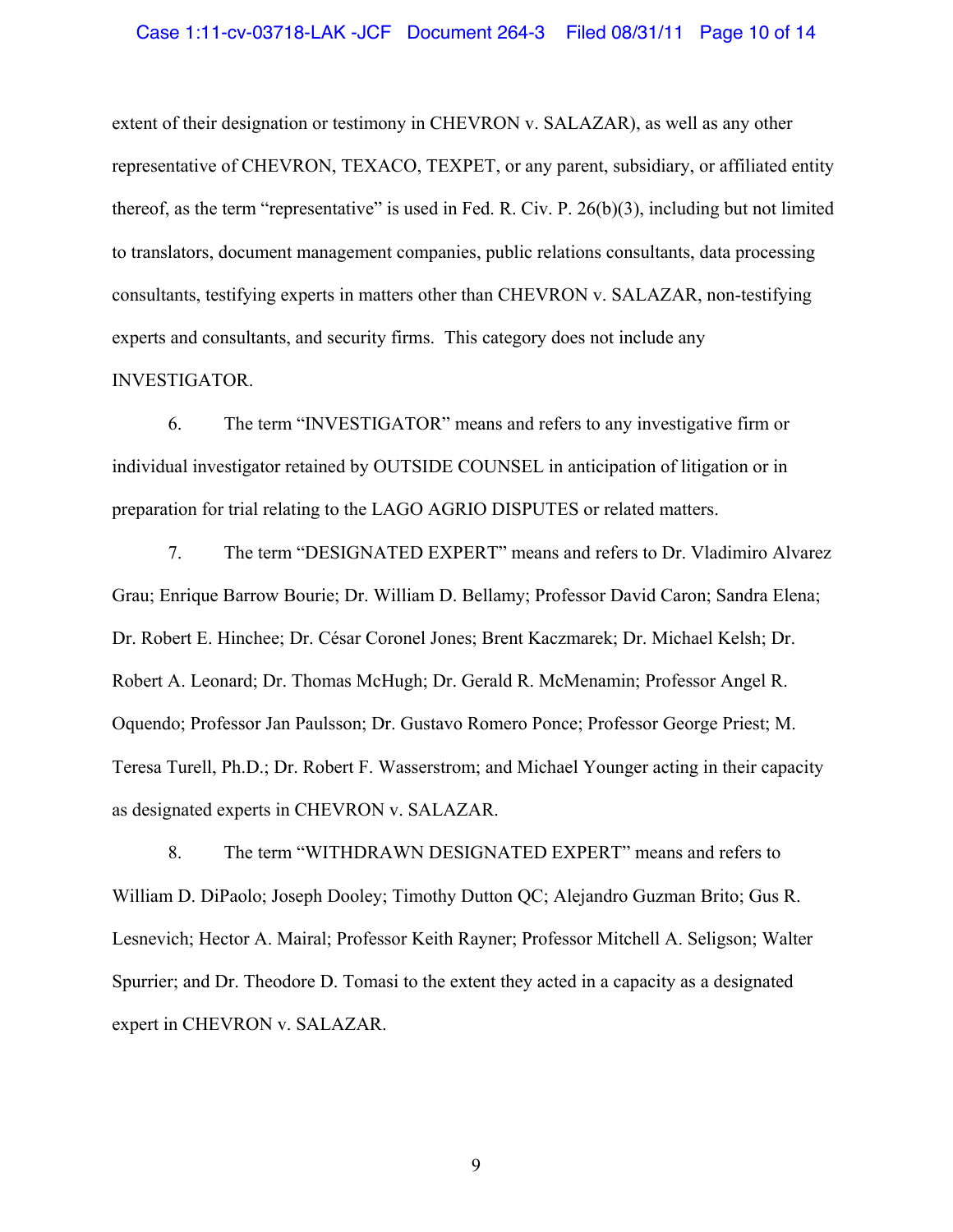#### Case 1:11-cv-03718-LAK -JCF Document 264-3 Filed 08/31/11 Page 10 of 14

extent of their designation or testimony in CHEVRON v. SALAZAR), as well as any other representative of CHEVRON, TEXACO, TEXPET, or any parent, subsidiary, or affiliated entity thereof, as the term "representative" is used in Fed. R. Civ. P.  $26(b)(3)$ , including but not limited to translators, document management companies, public relations consultants, data processing consultants, testifying experts in matters other than CHEVRON v. SALAZAR, non-testifying experts and consultants, and security firms. This category does not include any INVESTIGATOR.

6. The term "INVESTIGATOR" means and refers to any investigative firm or individual investigator retained by OUTSIDE COUNSEL in anticipation of litigation or in preparation for trial relating to the LAGO AGRIO DISPUTES or related matters.

7. The term "DESIGNATED EXPERT" means and refers to Dr. Vladimiro Alvarez Grau; Enrique Barrow Bourie; Dr. William D. Bellamy; Professor David Caron; Sandra Elena; Dr. Robert E. Hinchee; Dr. César Coronel Jones; Brent Kaczmarek; Dr. Michael Kelsh; Dr. Robert A. Leonard; Dr. Thomas McHugh; Dr. Gerald R. McMenamin; Professor Angel R. Oquendo; Professor Jan Paulsson; Dr. Gustavo Romero Ponce; Professor George Priest; M. Teresa Turell, Ph.D.; Dr. Robert F. Wasserstrom; and Michael Younger acting in their capacity as designated experts in CHEVRON v. SALAZAR.

8. The term "WITHDRAWN DESIGNATED EXPERT" means and refers to William D. DiPaolo; Joseph Dooley; Timothy Dutton QC; Alejandro Guzman Brito; Gus R. Lesnevich; Hector A. Mairal; Professor Keith Rayner; Professor Mitchell A. Seligson; Walter Spurrier; and Dr. Theodore D. Tomasi to the extent they acted in a capacity as a designated expert in CHEVRON v. SALAZAR.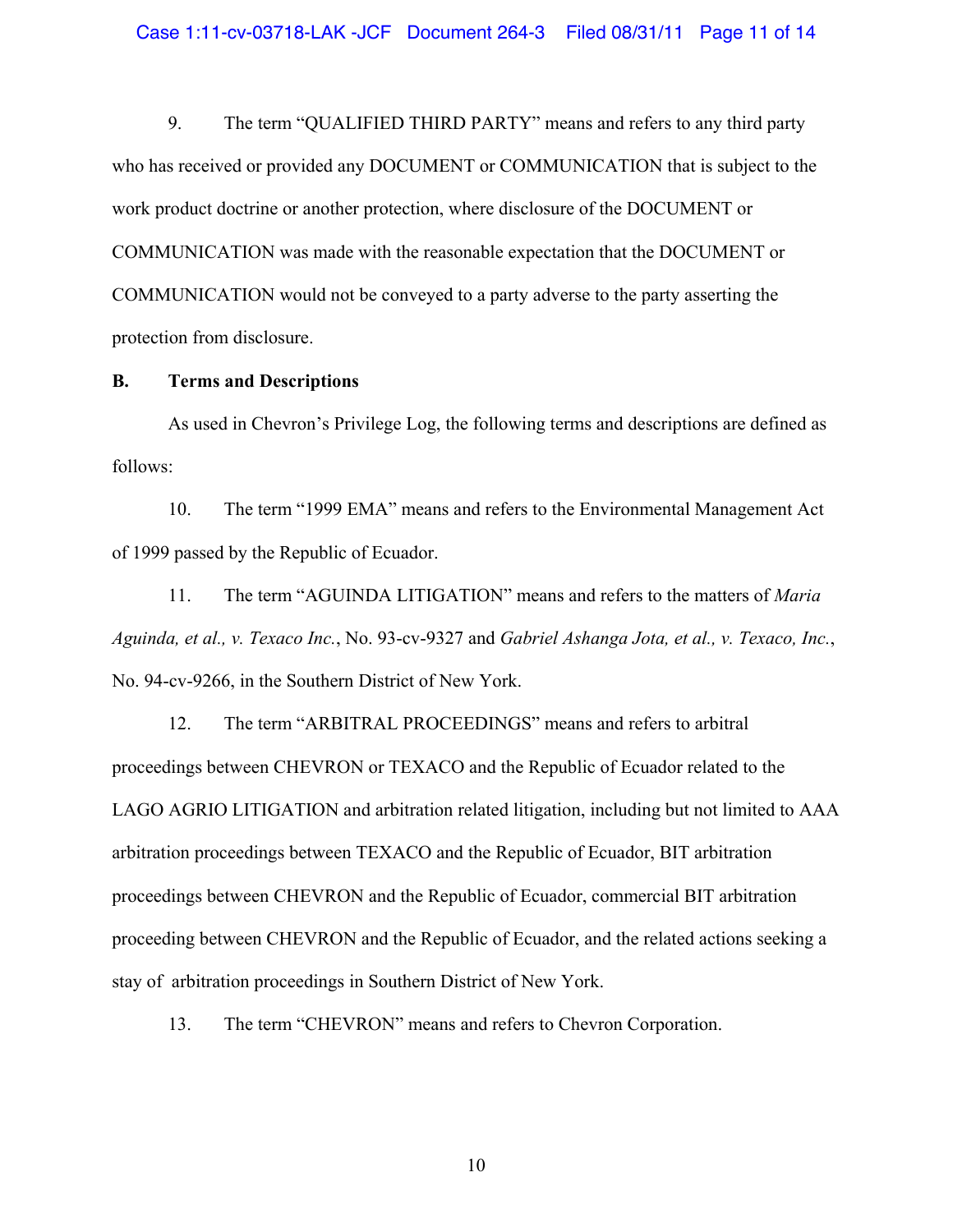9. The term "QUALIFIED THIRD PARTY" means and refers to any third party who has received or provided any DOCUMENT or COMMUNICATION that is subject to the work product doctrine or another protection, where disclosure of the DOCUMENT or COMMUNICATION was made with the reasonable expectation that the DOCUMENT or COMMUNICATION would not be conveyed to a party adverse to the party asserting the protection from disclosure.

#### **B. Terms and Descriptions**

As used in Chevron's Privilege Log, the following terms and descriptions are defined as follows:

10. The term "1999 EMA" means and refers to the Environmental Management Act of 1999 passed by the Republic of Ecuador.

11. The term "AGUINDA LITIGATION" means and refers to the matters of *Maria Aguinda, et al., v. Texaco Inc.*, No. 93-cv-9327 and *Gabriel Ashanga Jota, et al., v. Texaco, Inc.*, No. 94-cv-9266, in the Southern District of New York.

12. The term "ARBITRAL PROCEEDINGS" means and refers to arbitral proceedings between CHEVRON or TEXACO and the Republic of Ecuador related to the LAGO AGRIO LITIGATION and arbitration related litigation, including but not limited to AAA arbitration proceedings between TEXACO and the Republic of Ecuador, BIT arbitration proceedings between CHEVRON and the Republic of Ecuador, commercial BIT arbitration proceeding between CHEVRON and the Republic of Ecuador, and the related actions seeking a stay of arbitration proceedings in Southern District of New York.

13. The term "CHEVRON" means and refers to Chevron Corporation.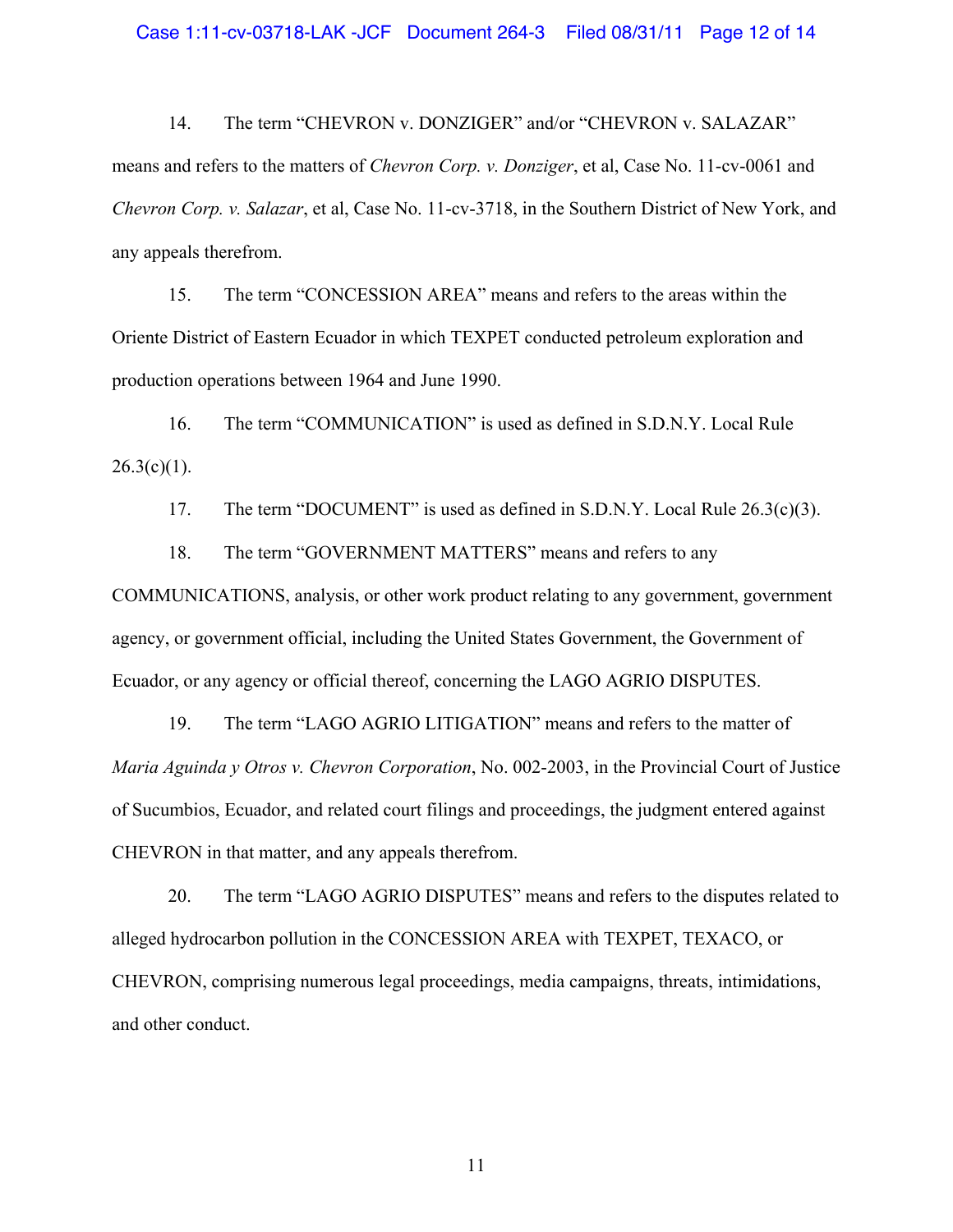14. The term "CHEVRON v. DONZIGER" and/or "CHEVRON v. SALAZAR" means and refers to the matters of *Chevron Corp. v. Donziger*, et al, Case No. 11-cv-0061 and *Chevron Corp. v. Salazar*, et al, Case No. 11-cv-3718, in the Southern District of New York, and any appeals therefrom.

15. The term "CONCESSION AREA" means and refers to the areas within the Oriente District of Eastern Ecuador in which TEXPET conducted petroleum exploration and production operations between 1964 and June 1990.

16. The term "COMMUNICATION" is used as defined in S.D.N.Y. Local Rule  $26.3(c)(1)$ .

17. The term "DOCUMENT" is used as defined in S.D.N.Y. Local Rule  $26.3(c)(3)$ .

18. The term "GOVERNMENT MATTERS" means and refers to any

COMMUNICATIONS, analysis, or other work product relating to any government, government agency, or government official, including the United States Government, the Government of Ecuador, or any agency or official thereof, concerning the LAGO AGRIO DISPUTES.

19. The term "LAGO AGRIO LITIGATION" means and refers to the matter of *Maria Aguinda y Otros v. Chevron Corporation*, No. 002-2003, in the Provincial Court of Justice of Sucumbios, Ecuador, and related court filings and proceedings, the judgment entered against CHEVRON in that matter, and any appeals therefrom.

20. The term "LAGO AGRIO DISPUTES" means and refers to the disputes related to alleged hydrocarbon pollution in the CONCESSION AREA with TEXPET, TEXACO, or CHEVRON, comprising numerous legal proceedings, media campaigns, threats, intimidations, and other conduct.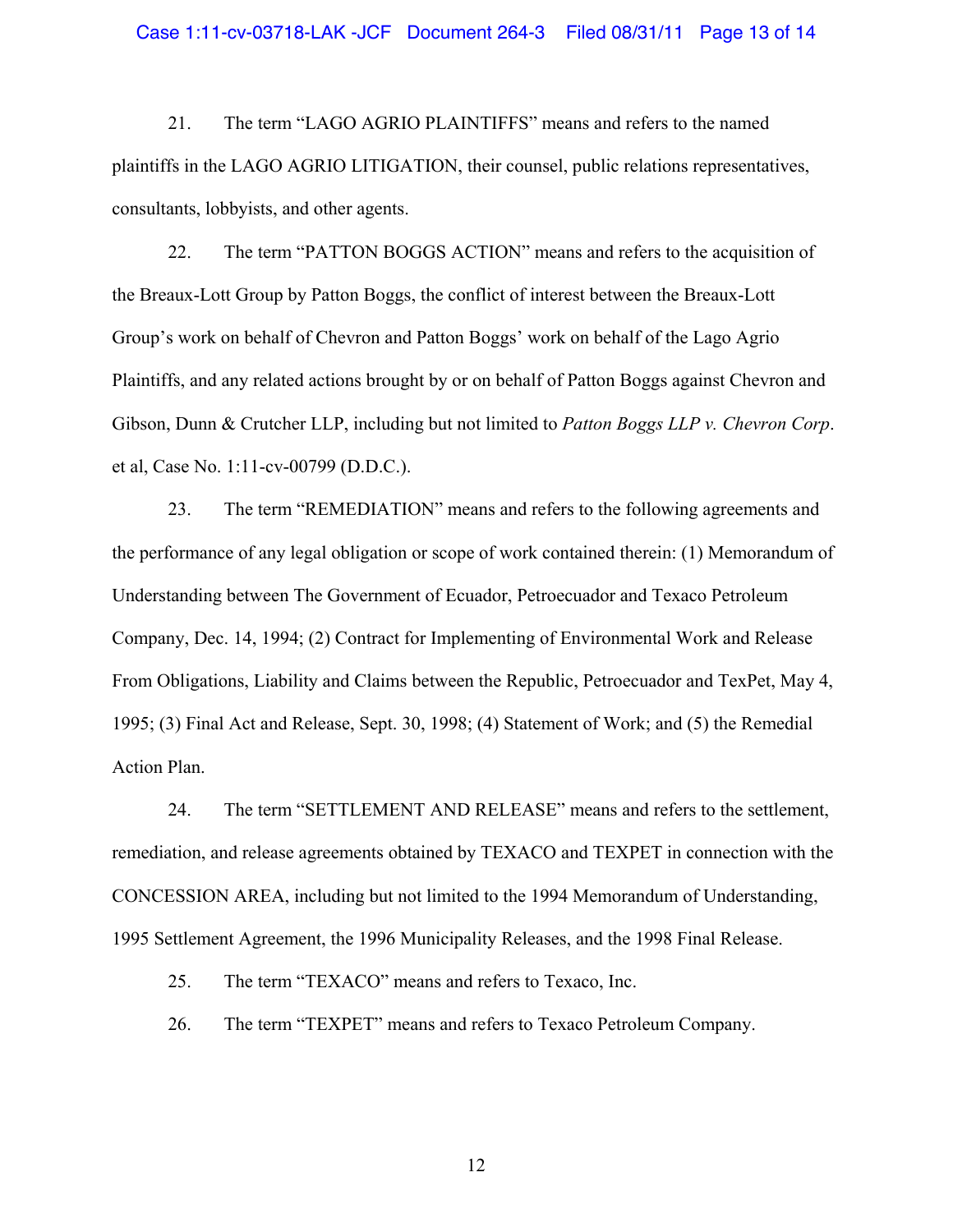#### Case 1:11-cv-03718-LAK -JCF Document 264-3 Filed 08/31/11 Page 13 of 14

21. The term "LAGO AGRIO PLAINTIFFS" means and refers to the named plaintiffs in the LAGO AGRIO LITIGATION, their counsel, public relations representatives, consultants, lobbyists, and other agents.

22. The term "PATTON BOGGS ACTION" means and refers to the acquisition of the Breaux-Lott Group by Patton Boggs, the conflict of interest between the Breaux-Lott Group's work on behalf of Chevron and Patton Boggs' work on behalf of the Lago Agrio Plaintiffs, and any related actions brought by or on behalf of Patton Boggs against Chevron and Gibson, Dunn & Crutcher LLP, including but not limited to *Patton Boggs LLP v. Chevron Corp*. et al, Case No. 1:11-cv-00799 (D.D.C.).

23. The term "REMEDIATION" means and refers to the following agreements and the performance of any legal obligation or scope of work contained therein: (1) Memorandum of Understanding between The Government of Ecuador, Petroecuador and Texaco Petroleum Company, Dec. 14, 1994; (2) Contract for Implementing of Environmental Work and Release From Obligations, Liability and Claims between the Republic, Petroecuador and TexPet, May 4, 1995; (3) Final Act and Release, Sept. 30, 1998; (4) Statement of Work; and (5) the Remedial Action Plan.

24. The term "SETTLEMENT AND RELEASE" means and refers to the settlement, remediation, and release agreements obtained by TEXACO and TEXPET in connection with the CONCESSION AREA, including but not limited to the 1994 Memorandum of Understanding, 1995 Settlement Agreement, the 1996 Municipality Releases, and the 1998 Final Release.

25. The term "TEXACO" means and refers to Texaco, Inc.

26. The term "TEXPET" means and refers to Texaco Petroleum Company.